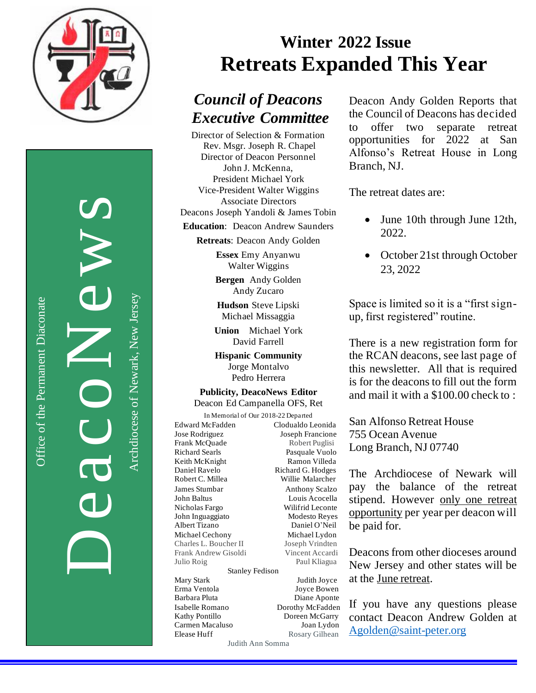

Office of the Permanent Diaconate Office of the Permanent Diaconate

D $\bigcirc$ aconewsk ew Article WS

Archdiocese of Newark, New Jersey

# **Winter 2022 Issue Retreats Expanded This Year**

### *Council of Deacons Executive Committee*

Director of Selection & Formation Rev. Msgr. Joseph R. Chapel Director of Deacon Personnel John J. McKenna, President Michael York Vice-President Walter Wiggins Associate Directors

Deacons Joseph Yandoli & James Tobin

**Education**: Deacon Andrew Saunders

**Retreats**: Deacon Andy Golden

**Essex** Emy Anyanwu Walter Wiggins

**Bergen** Andy Golden Andy Zucaro

**Hudson** Steve Lipski Michael Missaggia

**Union** Michael York David Farrell

**Hispanic Community** Jorge Montalvo Pedro Herrera

**Publicity, DeacoNews Editor** Deacon Ed Campanella OFS, Ret

In Memorial of Our 2018-22 Departed

Edward McFadden Clodualdo Leonida Jose Rodriguez Joseph Francione Frank McQuade Robert Puglisi Richard Searls Pasquale Vuolo Keith McKnight Ramon Villeda<br>
Daniel Ravelo<br>
Richard G. Hodges Robert C. Millea Willie Malarcher **James Stumbar Anthony Scalzo** John Baltus Louis Acocella Nicholas Fargo Wilifrid Leconte John Inguaggiato Modesto Reyes Albert Tizano Daniel O'Neil Michael Cechony Michael Lydon Charles L. Boucher II Joseph Vrindten Frank Andrew Gisoldi Vincent Accardi Julio Roig Paul Kliagua

Richard G. Hodges

Stanley Fedison

Erma Ventola Joyce Bowen Barbara Pluta Diane Aponte Isabelle Romano Dorothy McFadden Kathy Pontillo Doreen McGarry Carmen Macaluso Joan Lydon<br>Elease Huff Rosary Gilhean

Mary Stark Judith Joyce Rosary Gilhean

Judith Ann Somma

Deacon Andy Golden Reports that the Council of Deacons has decided to offer two separate retreat opportunities for 2022 at San Alfonso's Retreat House in Long Branch, NJ.

The retreat dates are:

- June 10th through June 12th, 2022.
- October 21st through October 23, 2022

Space is limited so it is a "first signup, first registered" routine.

There is a new registration form for the RCAN deacons, see last page of this newsletter. All that is required is for the deacons to fill out the form and mail it with a \$100.00 check to :

San Alfonso Retreat House 755 Ocean Avenue Long Branch, NJ 07740

The Archdiocese of Newark will pay the balance of the retreat stipend. However only one retreat opportunity per year per deacon will be paid for.

Deacons from other dioceses around New Jersey and other states will be at the June retreat.

If you have any questions please contact Deacon Andrew Golden at [Agolden@saint-peter.org](mailto:Agolden@saint-peter.org)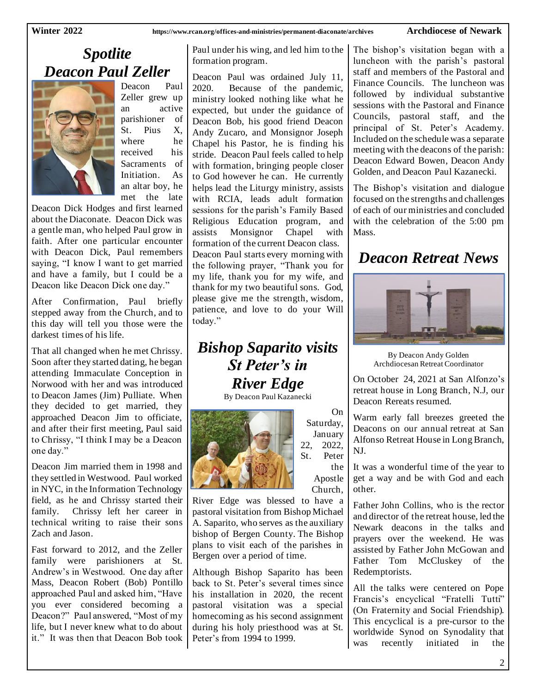#### *Spotlite Deacon Paul Zeller*



Deacon Paul Zeller grew up an active parishioner of St. Pius X, where he received his Sacraments of Initiation. As an altar boy, he met the late

Deacon Dick Hodges and first learned about the Diaconate. Deacon Dick was a gentle man, who helped Paul grow in faith. After one particular encounter with Deacon Dick, Paul remembers saying, "I know I want to get married and have a family, but I could be a Deacon like Deacon Dick one day."

After Confirmation, Paul briefly stepped away from the Church, and to this day will tell you those were the darkest times of his life.

That all changed when he met Chrissy. Soon after they started dating, he began attending Immaculate Conception in Norwood with her and was introduced to Deacon James (Jim) Pulliate. When they decided to get married, they approached Deacon Jim to officiate, and after their first meeting, Paul said to Chrissy, "I think I may be a Deacon one day."

Deacon Jim married them in 1998 and they settled in Westwood. Paul worked in NYC, in the Information Technology field, as he and Chrissy started their family. Chrissy left her career in technical writing to raise their sons Zach and Jason.

Fast forward to 2012, and the Zeller family were parishioners at St. Andrew's in Westwood. One day after Mass, Deacon Robert (Bob) Pontillo approached Paul and asked him, "Have you ever considered becoming a Deacon?" Paul answered, "Most of my life, but I never knew what to do about it." It was then that Deacon Bob took Paul under his wing, and led him to the formation program.

Deacon Paul was ordained July 11, 2020. Because of the pandemic, ministry looked nothing like what he expected, but under the guidance of Deacon Bob, his good friend Deacon Andy Zucaro, and Monsignor Joseph Chapel his Pastor, he is finding his stride. Deacon Paul feels called to help with formation, bringing people closer to God however he can. He currently helps lead the Liturgy ministry, assists with RCIA, leads adult formation sessions for the parish's Family Based Religious Education program, and assists Monsignor Chapel with formation of the current Deacon class. Deacon Paul starts every morning with the following prayer, "Thank you for my life, thank you for my wife, and thank for my two beautiful sons. God, please give me the strength, wisdom, patience, and love to do your Will today."

## *Bishop Saparito visits St Peter's in River Edge*

By Deacon Paul Kazanecki



On Saturday, January 22, 2022, St. Peter the Apostle

Church,

River Edge was blessed to have a pastoral visitation from Bishop Michael A. Saparito, who serves as the auxiliary bishop of Bergen County. The Bishop plans to visit each of the parishes in Bergen over a period of time.

Although Bishop Saparito has been back to St. Peter's several times since his installation in 2020 the recent pastoral visitation was a special homecoming as his second assignment during his holy priesthood was at St. Peter's from 1994 to 1999.

The bishop's visitation began with a luncheon with the parish's pastoral staff and members of the Pastoral and Finance Councils. The luncheon was followed by individual substantive sessions with the Pastoral and Finance Councils, pastoral staff, and the principal of St. Peter's Academy. Included on the schedule was a separate meeting with the deacons of the parish: Deacon Edward Bowen, Deacon Andy Golden, and Deacon Paul Kazanecki.

The Bishop's visitation and dialogue focused on the strengths and challenges of each of our ministries and concluded with the celebration of the 5:00 pm Mass.

#### *Deacon Retreat News*



By Deacon Andy Golden Archdiocesan Retreat Coordinator

On October 24, 2021 at San Alfonzo's retreat house in Long Branch, N.J, our Deacon Rereats resumed.

Warm early fall breezes greeted the Deacons on our annual retreat at San Alfonso Retreat House in Long Branch, NJ.

It was a wonderful time of the year to get a way and be with God and each other.

Father John Collins, who is the rector and director of the retreat house, led the Newark deacons in the talks and prayers over the weekend. He was assisted by Father John McGowan and Father Tom McCluskey of the Redemptorists.

All the talks were centered on Pope Francis's encyclical "Fratelli Tutti" (On Fraternity and Social Friendship). This encyclical is a pre-cursor to the worldwide Synod on Synodality that was recently initiated in the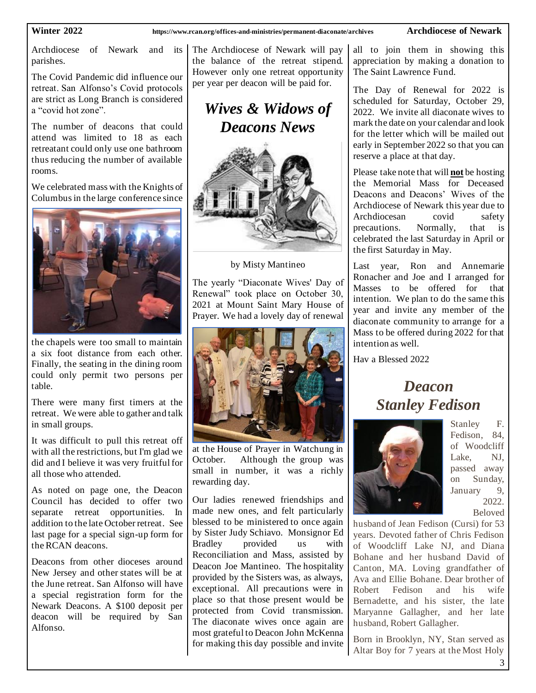Archdiocese of Newark and its parishes.

The Covid Pandemic did influence our retreat. San Alfonso's Covid protocols are strict as Long Branch is considered a "covid hot zone".

The number of deacons that could attend was limited to 18 as each retreatant could only use one bathroom thus reducing the number of available rooms.

We celebrated mass with the Knights of Columbus in the large conference since



the chapels were too small to maintain a six foot distance from each other. Finally, the seating in the dining room could only permit two persons per table.

There were many first timers at the retreat. We were able to gather and talk in small groups.

It was difficult to pull this retreat off with all the restrictions, but I'm glad we did and I believe it was very fruitful for all those who attended.

As noted on page one, the Deacon Council has decided to offer two separate retreat opportunities. In addition to the late October retreat. See last page for a special sign-up form for the RCAN deacons.

Deacons from other dioceses around New Jersey and other states will be at the June retreat. San Alfonso will have a special registration form for the Newark Deacons. A \$100 deposit per deacon will be required by San Alfonso.

The Archdiocese of Newark will pay the balance of the retreat stipend. However only one retreat opportunity per year per deacon will be paid for.

*Wives & Widows of Deacons News*



by Misty Mantineo

The yearly "Diaconate Wives' Day of Renewal" took place on October 30, 2021 at Mount Saint Mary House of Prayer. We had a lovely day of renewal



at the House of Prayer in Watchung in October. Although the group was small in number, it was a richly rewarding day.

Our ladies renewed friendships and made new ones, and felt particularly blessed to be ministered to once again by Sister Judy Schiavo. Monsignor Ed Bradley provided us with Reconciliation and Mass, assisted by Deacon Joe Mantineo. The hospitality provided by the Sisters was, as always, exceptional. All precautions were in place so that those present would be protected from Covid transmission. The diaconate wives once again are most grateful to Deacon John McKenna for making this day possible and invite

all to join them in showing this appreciation by making a donation to The Saint Lawrence Fund.

The Day of Renewal for 2022 is scheduled for Saturday, October 29, 2022. We invite all diaconate wives to mark the date on your calendar and look for the letter which will be mailed out early in September 2022 so that you can reserve a place at that day.

Please take note that will **not** be hosting the Memorial Mass for Deceased Deacons and Deacons' Wives of the Archdiocese of Newark this year due to Archdiocesan covid safety precautions. Normally, that is celebrated the last Saturday in April or the first Saturday in May.

Last year, Ron and Annemarie Ronacher and Joe and I arranged for Masses to be offered for that intention. We plan to do the same this year and invite any member of the diaconate community to arrange for a Mass to be offered during 2022 for that intention as well.

Hav a Blessed 2022

## *Deacon Stanley Fedison*



Stanley F. Fedison, 84, of Woodcliff Lake, NJ, passed away on Sunday, January 9, 2022. Beloved

husband of Jean Fedison (Cursi) for 53 years. Devoted father of Chris Fedison of Woodcliff Lake NJ, and Diana Bohane and her husband David of Canton, MA. Loving grandfather of Ava and Ellie Bohane. Dear brother of Robert Fedison and his wife Bernadette, and his sister, the late Maryanne Gallagher, and her late husband, Robert Gallagher.

Born in Brooklyn, NY, Stan served as Altar Boy for 7 years at the Most Holy